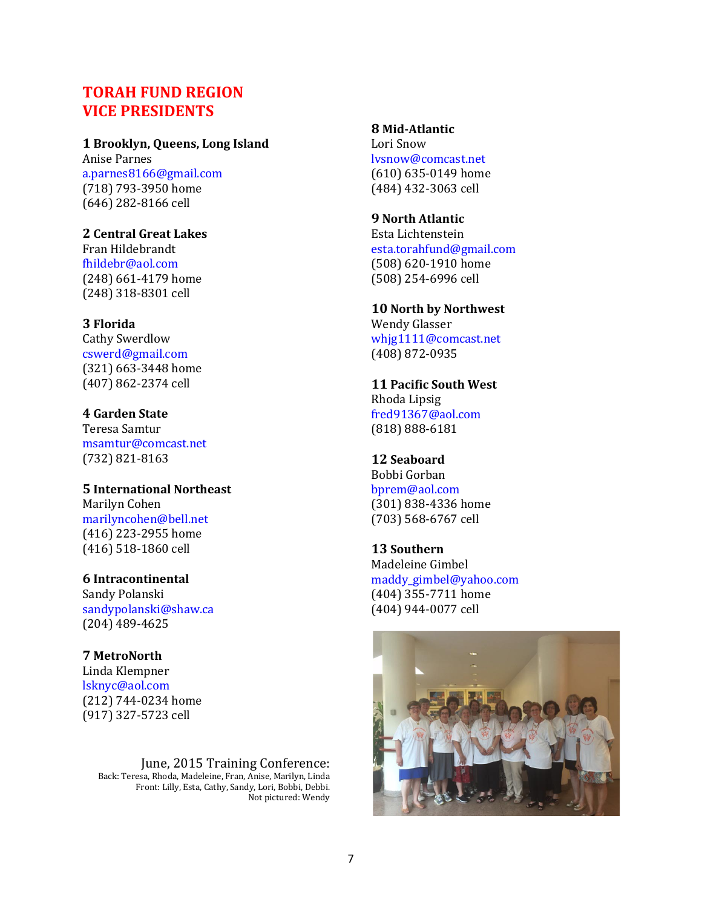# **TORAH FUND REGION VICE PRESIDENTS**

#### **1 Brooklyn, Queens, Long Island**

Anise Parnes [a.parnes8166@gmail.com](mailto:a.parnes3904@earthlink.net) (718) 793-3950 home (646) 282-8166 cell

#### **2 Central Great Lakes**

Fran Hildebrandt [fhildebr@aol.com](mailto:fhildebr@aol.com) (248) 661-4179 home (248) 318-8301 cell

### **3 Florida**

Cathy Swerdlow [cswerd@gmail.com](mailto:cswerd@gmail.com) (321) 663-3448 home (407) 862-2374 cell

### **4 Garden State**

Teresa Samtur [msamtur@comcast.net](mailto:sfhammermn@aol.com) (732) 821-8163

#### **5 International Northeast** Marilyn Cohen [marilyncohen@bell.net](mailto:rjacobson91@gmail.com)

(416) 223-2955 home (416) 518-1860 cell

#### **6 Intracontinental**

Sandy Polanski [sandypolanski@shaw.ca](mailto:cindymsn@charter.net) (204) 489-4625

# **7 MetroNorth**

Linda Klempner [lsknyc@aol.com](mailto:lsiegal1@nyc.rr.com) (212) 744-0234 home (917) 327-5723 cell

#### June, 2015 Training Conference: Back: Teresa, Rhoda, Madeleine, Fran, Anise, Marilyn, Linda Front: Lilly, Esta, Cathy, Sandy, Lori, Bobbi, Debbi. Not pictured: Wendy

#### **8 Mid-Atlantic**

Lori Snow [lvsnow@comcast.net](mailto:thehirts@verizon.net) (610) 635-0149 home (484) 432-3063 cell

#### **9 North Atlantic**

Esta Lichtenstein [esta.torahfund@gmail.com](mailto:vicki.isman@comcast.net) (508) 620-1910 home (508) 254-6996 cell

## **10 North by Northwest**

Wendy Glasser [whjg1111@comcast.net](mailto:Division10@aol.com) (408) 872-0935

## **11 Pacific South West** Rhoda Lipsig [fred91367@aol.com](mailto:Division10@aol.com)

(818) 888-6181

## **12 Seaboard**

Bobbi Gorban [bprem@aol.com](mailto:bprem@aol.com) (301) 838-4336 home (703) 568-6767 cell

#### **13 Southern** Madeleine Gimbel [maddy\\_gimbel@yahoo.com](mailto:mwsegal55@gmail.com) (404) 355-7711 home (404) 944-0077 cell